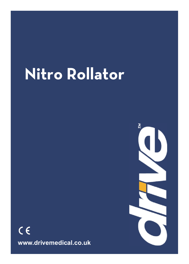# **Nitro Rollator**

 $C \in$ **www.drivemedical.co.uk**  $\overline{\mathcal{C}}$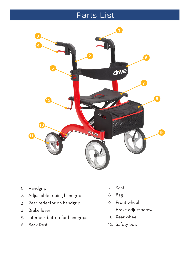#### Parts List



- 1. Handgrip
- 2. Adjustable tubing handgrip
- 3. Rear reflector on handgrip
- 4. Brake lever
- 5. Interlock button for handgrips
- 6. Back Rest
- 7. Seat
- 8. Bag
- 9. Front wheel
- 10. Brake adjust screw
- 11. Rear wheel
- 12. Safety bow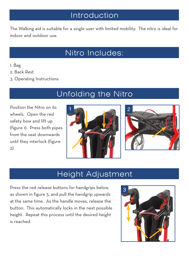#### Introduction

The Walking aid is suitable for a single user with limited mobility. The nitro is ideal for indoor and outdoor use.

### Nitro Includes:

- 1. Bag
- 2. Back Rest
- 3. Operating Instructions

# Unfolding the Nitro

Position the Nitro on its wheels. Open the red safety bow and lift up (figure 1). Press both pipes from the seat downwards until they interlock (figure 2).





#### Height Adjustment

Press the red release buttons for handgrips below, as shown in figure 3, and pull the handgrip upwards at the same time. As the handle moves, release the button. This automatically locks in the next possible height. Repeat this process until the desired height is reached.

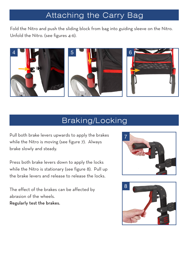# Attaching the Carry Bag

Fold the Nitro and push the sliding block from bag into guiding sleeve on the Nitro. Unfold the Nitro. (see figures 4-6).



#### Braking/Locking

Pull both brake levers upwards to apply the brakes while the Nitro is moving (see figure 7). Always brake slowly and steady.

Press both brake levers down to apply the locks while the Nitro is stationary (see figure 8). Pull up the brake levers and release to release the locks.

The effect of the brakes can be affected by abrasion of the wheels. Regularly test the brakes.



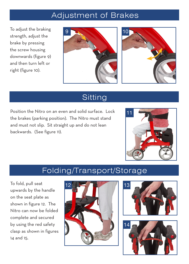#### Adjustment of Brakes

To adjust the braking strength, adjust the brake by pressing the screw housing downwards (figure 9) and then turn left or right (figure 10).





#### **Sitting**

Position the Nitro on an even and solid surface. Lock the brakes (parking position). The Nitro must stand and must not slip. Sit straight up and do not lean backwards. (See figure 11).



#### Folding/Transport/Storage

To fold, pull seat upwards by the handle on the seat plate as shown in figure 12. The Nitro can now be folded complete and secured by using the red safety clasp as shown in figures 14 and 15.





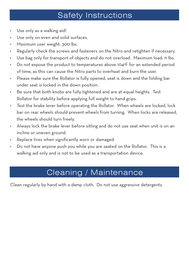#### **Safety Instructions**

- Use only as a walking aid!
- • Use only on even and solid surfaces.
- Maximum user weight: 300 lbs.
- • Regularly check the screws and fasteners on the Nitro and retighten if necessary.
- Use bag only for transport of objects and do not overload. Maximum load: 11 lbs.
- Do not expose the product to temperatures above 104°F for an extended period of time, as this can cause the Nitro parts to overheat and burn the user.
- Please make sure the Rollator is fully opened, seat is down and the folding bar under seat is locked in the down position.
- Be sure that both knobs are fully tightened and are at equal heights. Test Rollator for stability before applying full weight to hand grips.
- Test the brake lever before operating the Rollator. When wheels are locked, lock bar on rear wheels should prevent wheels from turning. When locks are released, the wheels should turn freely.
- Always lock the brake lever before sitting and do not use seat when unit is on an incline or uneven ground.
- Replace tires when significantly worn or damaged.
- Do not have anyone push you while you are seated on the Rollator. This is a walking aid only and is not to be used as a transportation device.

# Cleaning / Maintenance

Clean regularly by hand with a damp cloth. Do not use aggressive detergents.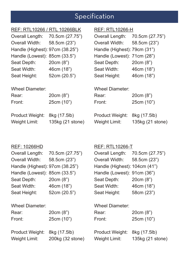# **Specification**

| REF: RTL10266 / RTL 10266BLK     |                                  | <b>REF: RTL10266-H</b>           |                                  |
|----------------------------------|----------------------------------|----------------------------------|----------------------------------|
| Overall Length:                  | 70.5cm (27.75")                  | Overall Length:                  | 70.5cm (27.75")                  |
| Overall Width:                   | 58.5cm (23")                     | Overall Width:                   | 58.5cm (23")                     |
| Handle (Highest): 97cm (38.25")  |                                  | Handle (Highest): 79cm (31")     |                                  |
| Handle (Lowest): 85cm (33.5")    |                                  | Handle (Lowest): 71cm (28")      |                                  |
| Seat Depth:                      | 20cm (8")                        | Seat Depth:                      | 20cm (8")                        |
| Seat Width:                      | 46cm (18")                       | Seat Width:                      | 46cm (18")                       |
| Seat Height:                     | 52cm (20.5")                     | Seat Height:                     | 46cm (18")                       |
| Wheel Diameter:                  |                                  | Wheel Diameter:                  |                                  |
| Rear:                            | 20cm (8")                        | Rear:                            | 20cm (8")                        |
| Front:                           | 25cm (10")                       | Front:                           | 25cm (10")                       |
| Product Weight:<br>Weight Limit: | 8kg (17.5lb)<br>135kg (21 stone) | Product Weight:<br>Weight Limit: | 8kg (17.5lb)<br>135kg (21 stone) |

#### REF: 10266HD

| REF: 10266HD                    |                  | <b>REF: RTL10266-T</b>        |                  |
|---------------------------------|------------------|-------------------------------|------------------|
| Overall Length:                 | 70.5cm (27.75")  | Overall Length:               | 70.5cm (27.75")  |
| Overall Width:                  | 58.5cm (23")     | Overall Width:                | 58.5cm (23")     |
| Handle (Highest): 97cm (38.25") |                  | Handle (Highest): 104cm (41") |                  |
| Handle (Lowest): 85cm (33.5")   |                  | Handle (Lowest): 91cm (36")   |                  |
| Seat Depth:                     | 20cm (8")        | Seat Depth:                   | 20cm (8")        |
| Seat Width:                     | 46cm (18")       | Seat Width:                   | 46cm (18")       |
| Seat Height:                    | 52cm (20.5")     | Seat Height:                  | 58cm (23")       |
| Wheel Diameter:                 |                  | Wheel Diameter:               |                  |
| Rear:                           | 20cm (8")        | Rear:                         | 20cm (8")        |
| Front:                          | 25cm (10")       | Front:                        | 25cm (10")       |
| Product Weight:                 | 8kg (17.5lb)     | Product Weight:               | 8kg (17.5lb)     |
| Weight Limit:                   | 200kg (32 stone) | Weight Limit:                 | 135kg (21 stone) |